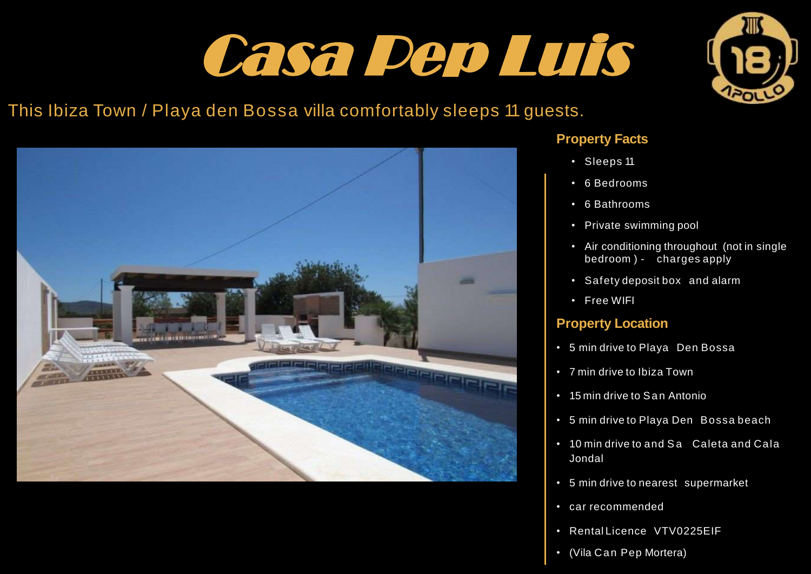## Casa Pep Luis



## This Ibiza Town / Playa den Bossa villa comfortably sleeps 11 guests.



#### **Property Facts**

- Sleeps 11
- 6 Bedrooms
- 6 Bathrooms
- Private swimming pool
- Air conditioning throughout (not in single bedroom ) - charges apply
- Safety deposit box and alarm
- Free WIFI

#### **Property Location**

- 5 min drive to Playa Den Bossa
- 7 min drive to Ibiza Town
- 15 min drive to San Antonio
- 5 min drive to Playa Den Bossa beach
- 10 min drive to and Sa Caleta and Cala Jondal
- 5 min drive to nearest supermarket
- car recommended
- Rental Licence VTV0225EIF
- (Vila Can Pep Mortera)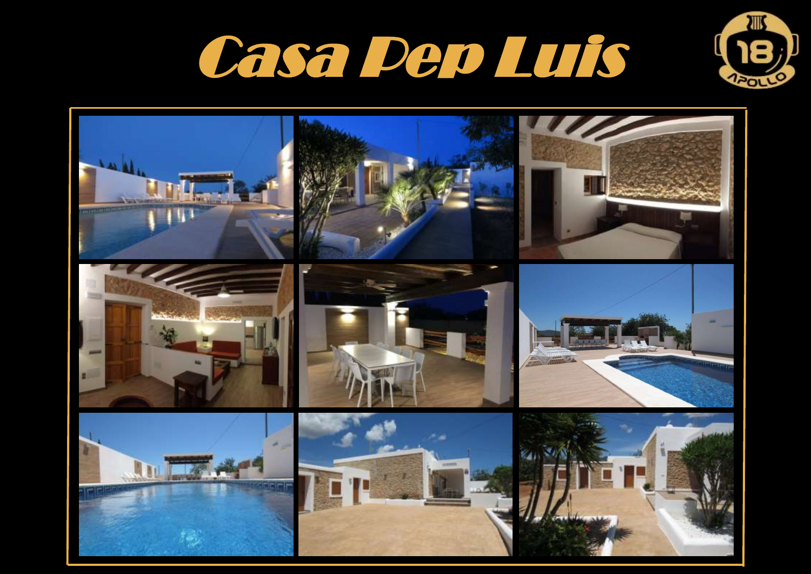



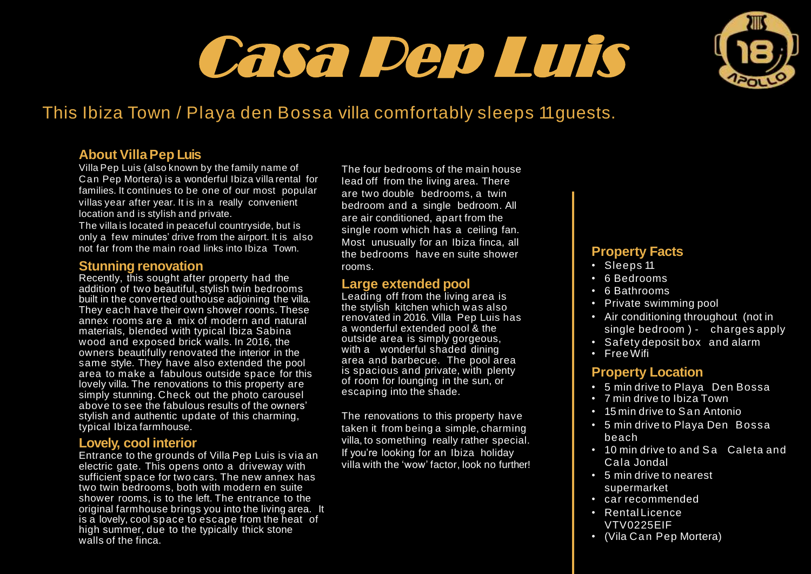# **Villa PepLuis** Casa Pep Luis



## This Ibiza Town / Playa den Bossa villa comfortably sleeps 11guests.

#### **About VillaPep Luis**

Villa Pep Luis (also known by the family name of Can Pep Mortera) is a wonderful Ibiza villa rental for families. It continues to be one of our most popular villas year after year. It is in a really convenient location and is stylish and private.

The villa is located in peaceful countryside, but is only a few minutes' drive from the airport. It is also not far from the main road links into Ibiza Town.

#### **Stunning renovation**

Recently, this sought after property had the addition of two beautiful, stylish twin bedrooms built in the converted outhouse adjoining the villa. They each have their own shower rooms. These annex rooms are a mix of modern and natural materials, blended with typical Ibiza Sabina wood and exposed brick walls. In 2016, the owners beautifully renovated the interior in the same style. They have also extended the pool area to make a fabulous outside space for this lovely villa. The renovations to this property are simply stunning. Check out the photo carousel above to see the fabulous results of the owners' stylish and authentic update of this charming, typical Ibiza farmhouse.

#### **Lovely, cool interior**

Entrance to the grounds of Villa Pep Luis is via an electric gate. This opens onto a driveway with sufficient space for two cars. The new annex has two twin bedrooms, both with modern en suite shower rooms, is to the left. The entrance to the original farmhouse brings you into the living area. It is a lovely, cool space to escape from the heat of high summer, due to the typically thick stone walls of the finca.

The four bedrooms of the main house lead off from the living area. There are two double bedrooms, a twin bedroom and a single bedroom. All are air conditioned, apart from the single room which has a ceiling fan. Most unusually for an Ibiza finca, all the bedrooms have en suite shower rooms.

#### **Large extended pool**

Leading off from the living area is the stylish kitchen which w as also renovated in 2016. Villa Pep Luis has a wonderful extended pool & the outside area is simply gorgeous, with a wonderful shaded dining area and barbecue. The pool area is spacious and private, with plenty of room for lounging in the sun, or escaping into the shade.

The renovations to this property have taken it from being a simple, charming villa, to something really rather special. If you're looking for an Ibiza holiday villa with the 'wow' factor, look no further!

#### **Property Facts**

- Sleeps 11
- 6 Bedrooms
- 6 Bathrooms
- Private swimming pool
- Air conditioning throughout (not in single bedroom ) - charges apply
- Safety deposit box and alarm
- Free Wifi

#### **Property Location**

- 5 min drive to Playa Den Bossa
- 7 min drive to Ibiza Town
- 15 min drive to San Antonio
- 5 min drive to Playa Den Bossa beach
- 10 min drive to and Sa Caleta and Cala Jondal
- 5 min drive to nearest supermarket
- car recommended
- $\cdot$  Rentall icence VTV0225EIF
- (Vila Can Pep Mortera)